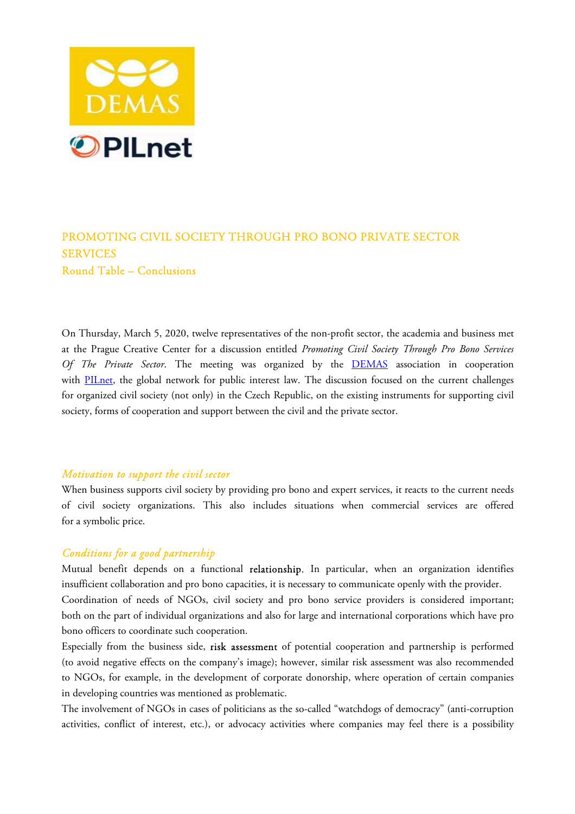

# PROMOTING CIVIL SOCIETY THROUGH PRO BONO PRIVATE SECTOR SERVICES Round Table – Conclusions

On Thursday, March 5, 2020, twelve representatives of the non-profit sector, the academia and business met at the Prague Creative Center for a discussion entitled *Promoting Civil Society Through Pro Bono Services Of The Private Sector*. The meeting was organized by the DEMAS association in cooperation with PILnet, the global network for public interest law. The discussion focused on the current challenges for organized civil society (not only) in the Czech Republic, on the existing instruments for supporting civil society, forms of cooperation and support between the civil and the private sector.

#### *Motivation to support the civil sector*

When business supports civil society by providing pro bono and expert services, it reacts to the current needs of civil society organizations. This also includes situations when commercial services are offered for a symbolic price.

### *Conditions for a good partnership*

Mutual benefit depends on a functional **relationship.** In particular, when an organization identifies insufficient collaboration and pro bono capacities, it is necessary to communicate openly with the provider. Coordination of needs of NGOs, civil society and pro bono service providers is considered important; both on the part of individual organizations and also for large and international corporations which have pro bono officers to coordinate such cooperation.

Especially from the business side, risk assessment of potential cooperation and partnership is performed (to avoid negative effects on the company's image); however, similar risk assessment was also recommended to NGOs, for example, in the development of corporate donorship, where operation of certain companies in developing countries was mentioned as problematic.

The involvement of NGOs in cases of politicians as the so-called "watchdogs of democracy" (anti-corruption activities, conflict of interest, etc.), or advocacy activities where companies may feel there is a possibility